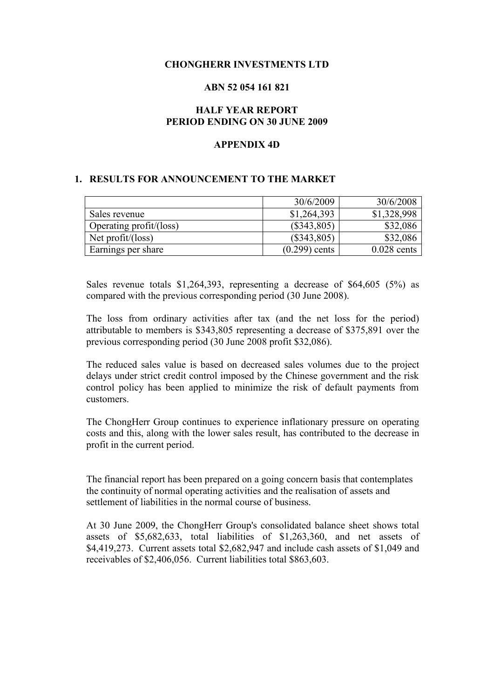### **CHONGHERR INVESTMENTS LTD**

#### **ABN 52 054 161 821**

### **HALF YEAR REPORT PERIOD ENDING ON 30 JUNE 2009**

### **APPENDIX 4D**

### **1. RESULTS FOR ANNOUNCEMENT TO THE MARKET**

|                         | 30/6/2009       | 30/6/2008     |
|-------------------------|-----------------|---------------|
| Sales revenue           | \$1,264,393     | \$1,328,998   |
| Operating profit/(loss) | $(\$343,805)$   | \$32,086      |
| Net $profit/loss)$      | $(\$343,805)$   | \$32,086      |
| Earnings per share      | $(0.299)$ cents | $0.028$ cents |

Sales revenue totals \$1,264,393, representing a decrease of \$64,605 (5%) as compared with the previous corresponding period (30 June 2008).

The loss from ordinary activities after tax (and the net loss for the period) attributable to members is \$343,805 representing a decrease of \$375,891 over the previous corresponding period (30 June 2008 profit \$32,086).

The reduced sales value is based on decreased sales volumes due to the project delays under strict credit control imposed by the Chinese government and the risk control policy has been applied to minimize the risk of default payments from customers.

The ChongHerr Group continues to experience inflationary pressure on operating costs and this, along with the lower sales result, has contributed to the decrease in profit in the current period.

The financial report has been prepared on a going concern basis that contemplates the continuity of normal operating activities and the realisation of assets and settlement of liabilities in the normal course of business.

At 30 June 2009, the ChongHerr Group's consolidated balance sheet shows total assets of \$5,682,633, total liabilities of \$1,263,360, and net assets of \$4,419,273. Current assets total \$2,682,947 and include cash assets of \$1,049 and receivables of \$2,406,056. Current liabilities total \$863,603.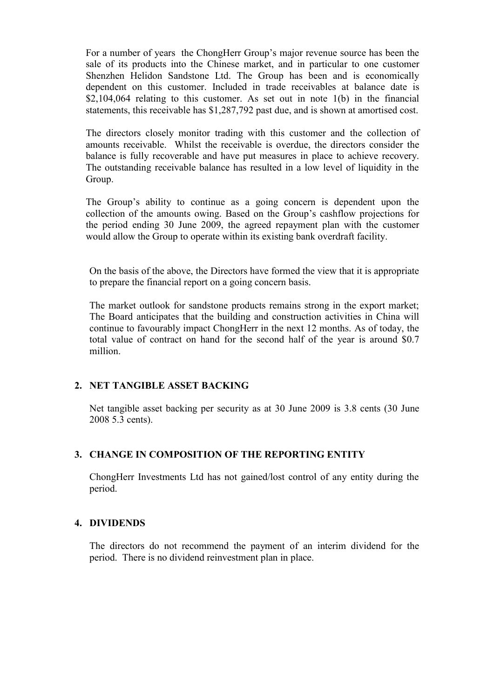For a number of years the ChongHerr Group's major revenue source has been the sale of its products into the Chinese market, and in particular to one customer Shenzhen Helidon Sandstone Ltd. The Group has been and is economically dependent on this customer. Included in trade receivables at balance date is \$2,104,064 relating to this customer. As set out in note 1(b) in the financial statements, this receivable has \$1,287,792 past due, and is shown at amortised cost.

The directors closely monitor trading with this customer and the collection of amounts receivable. Whilst the receivable is overdue, the directors consider the balance is fully recoverable and have put measures in place to achieve recovery. The outstanding receivable balance has resulted in a low level of liquidity in the Group.

The Group's ability to continue as a going concern is dependent upon the collection of the amounts owing. Based on the Group's cashflow projections for the period ending 30 June 2009, the agreed repayment plan with the customer would allow the Group to operate within its existing bank overdraft facility.

On the basis of the above, the Directors have formed the view that it is appropriate to prepare the financial report on a going concern basis.

The market outlook for sandstone products remains strong in the export market; The Board anticipates that the building and construction activities in China will continue to favourably impact ChongHerr in the next 12 months. As of today, the total value of contract on hand for the second half of the year is around \$0.7 million.

# **2. NET TANGIBLE ASSET BACKING**

Net tangible asset backing per security as at 30 June 2009 is 3.8 cents (30 June 2008 5.3 cents).

# **3. CHANGE IN COMPOSITION OF THE REPORTING ENTITY**

ChongHerr Investments Ltd has not gained/lost control of any entity during the period.

### **4. DIVIDENDS**

The directors do not recommend the payment of an interim dividend for the period. There is no dividend reinvestment plan in place.